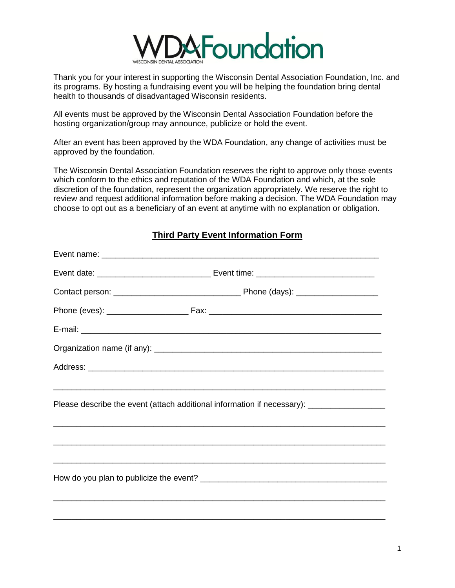

Thank you for your interest in supporting the Wisconsin Dental Association Foundation, Inc. and its programs. By hosting a fundraising event you will be helping the foundation bring dental health to thousands of disadvantaged Wisconsin residents.

All events must be approved by the Wisconsin Dental Association Foundation before the hosting organization/group may announce, publicize or hold the event.

After an event has been approved by the WDA Foundation, any change of activities must be approved by the foundation.

The Wisconsin Dental Association Foundation reserves the right to approve only those events which conform to the ethics and reputation of the WDA Foundation and which, at the sole discretion of the foundation, represent the organization appropriately. We reserve the right to review and request additional information before making a decision. The WDA Foundation may choose to opt out as a beneficiary of an event at anytime with no explanation or obligation.

| Please describe the event (attach additional information if necessary): ____________________________ |  |  |
|------------------------------------------------------------------------------------------------------|--|--|
|                                                                                                      |  |  |
|                                                                                                      |  |  |
|                                                                                                      |  |  |
|                                                                                                      |  |  |
|                                                                                                      |  |  |
|                                                                                                      |  |  |

**Third Party Event Information Form**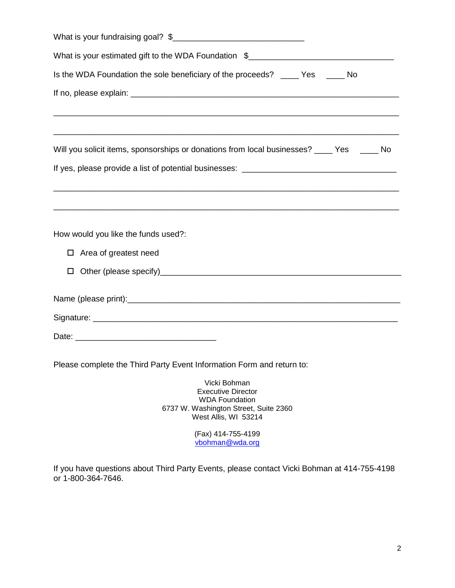(Fax) 414-755-4199 [vbohman@wda.org](mailto:vbohman@wda.org)

If you have questions about Third Party Events, please contact Vicki Bohman at 414-755-4198 or 1-800-364-7646.